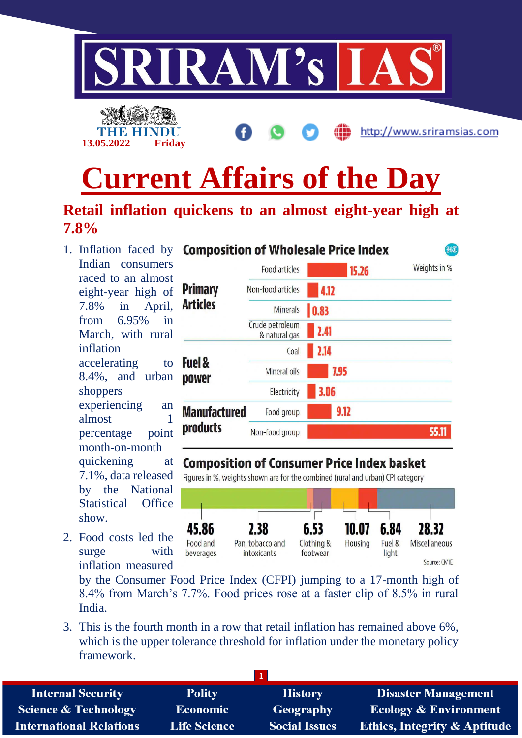

# **Current Affairs of the Day**

## **Retail inflation quickens to an almost eight-year high at 7.8%**

1. Inflation faced by **Composition of Wholesale Price Index** Indian consumers raced to an almost eight-year high of 7.8% in April, from 6.95% in March, with rural inflation accelerating to 8.4%, and urban shoppers experiencing an almost 1 percentage point month-on-month quickening at 7.1%, data released by the National Statistical Office show.

2. Food costs led the surge with inflation measured

|                                   | Food articles                    | Weights in %<br>15.26 |  |
|-----------------------------------|----------------------------------|-----------------------|--|
| <b>Primary</b><br><b>Articles</b> | Non-food articles                | 4.12                  |  |
|                                   | <b>Minerals</b>                  | 0.83                  |  |
|                                   | Crude petroleum<br>& natural gas | 2.41                  |  |
| <b>Fuel &amp;</b><br>power        | Coal                             | 2.14                  |  |
|                                   | Mineral oils                     | 7.95                  |  |
|                                   | Electricity                      | 3.06                  |  |
| <b>Manufactured</b>               | Food group                       | 9.12                  |  |
| products                          | Non-food group                   | 55.1                  |  |

 $f(x)$ 

#### **Composition of Consumer Price Index basket**

Figures in %, weights shown are for the combined (rural and urban) CPI category



by the Consumer Food Price Index (CFPI) jumping to a 17-month high of 8.4% from March's 7.7%. Food prices rose at a faster clip of 8.5% in rural India.

3. This is the fourth month in a row that retail inflation has remained above 6%, which is the upper tolerance threshold for inflation under the monetary policy framework.

| <b>Internal Security</b>        | <b>Polity</b>       | <b>History</b>       | <b>Disaster Management</b>              |
|---------------------------------|---------------------|----------------------|-----------------------------------------|
| <b>Science &amp; Technology</b> | <b>Economic</b>     | Geography            | <b>Ecology &amp; Environment</b>        |
| <b>International Relations</b>  | <b>Life Science</b> | <b>Social Issues</b> | <b>Ethics, Integrity &amp; Aptitude</b> |
|                                 |                     |                      |                                         |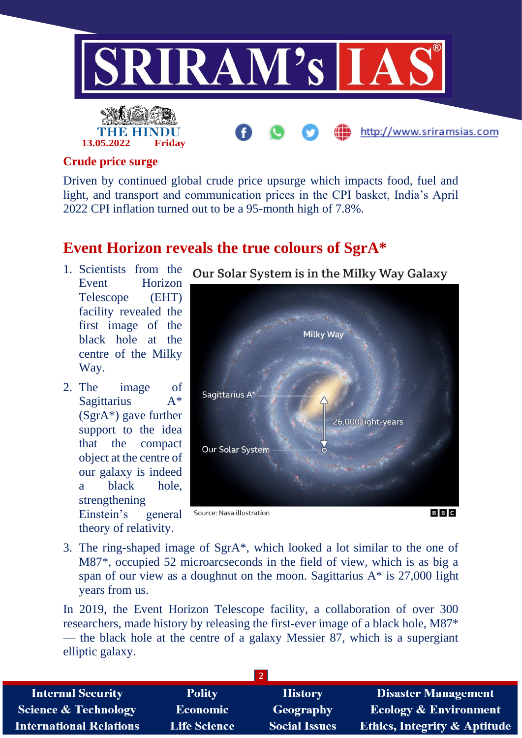

#### **Crude price surge**

Driven by continued global crude price upsurge which impacts food, fuel and light, and transport and communication prices in the CPI basket, India's April 2022 CPI inflation turned out to be a 95-month high of 7.8%.

### **Event Horizon reveals the true colours of SgrA\***

- 1. Scientists from the Event Horizon Telescope (EHT) facility revealed the first image of the black hole at the centre of the Milky Way.
- 2. The image of Sagittarius A\* (SgrA\*) gave further support to the idea that the compact object at the centre of our galaxy is indeed a black hole, strengthening Einstein's general theory of relativity.



Our Solar System is in the Milky Way Galaxy

3. The ring-shaped image of SgrA\*, which looked a lot similar to the one of M87\*, occupied 52 microarcseconds in the field of view, which is as big a span of our view as a doughnut on the moon. Sagittarius  $A^*$  is 27,000 light years from us.

In 2019, the Event Horizon Telescope facility, a collaboration of over 300 researchers, made history by releasing the first-ever image of a black hole, M87\* — the black hole at the centre of a galaxy Messier 87, which is a supergiant elliptic galaxy.

| <b>Internal Security</b>        | <b>Polity</b>       | <b>History</b>       | <b>Disaster Management</b>              |
|---------------------------------|---------------------|----------------------|-----------------------------------------|
| <b>Science &amp; Technology</b> | <b>Economic</b>     | Geography            | <b>Ecology &amp; Environment</b>        |
| <b>International Relations</b>  | <b>Life Science</b> | <b>Social Issues</b> | <b>Ethics, Integrity &amp; Aptitude</b> |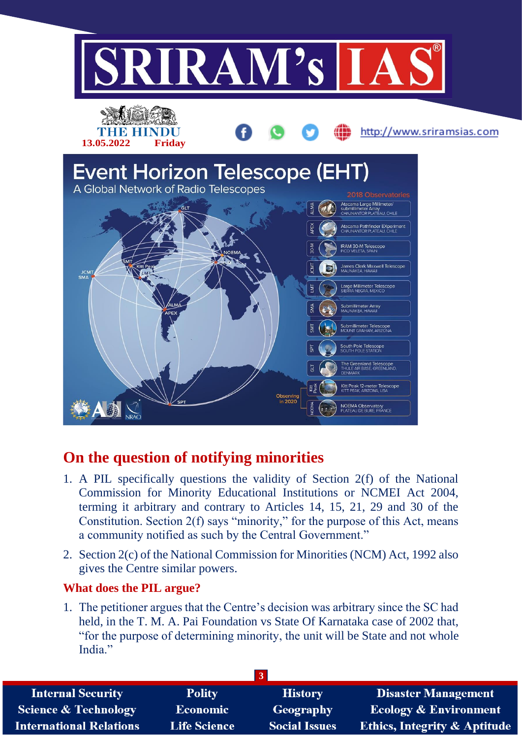

# **On the question of notifying minorities**

- 1. A PIL specifically questions the validity of Section 2(f) of the National Commission for Minority Educational Institutions or NCMEI Act 2004, terming it arbitrary and contrary to Articles 14, 15, 21, 29 and 30 of the Constitution. Section 2(f) says "minority," for the purpose of this Act, means a community notified as such by the Central Government."
- 2. Section 2(c) of the National Commission for Minorities (NCM) Act, 1992 also gives the Centre similar powers.

#### **What does the PIL argue?**

1. The petitioner argues that the Centre's decision was arbitrary since the SC had held, in the T. M. A. Pai Foundation vs State Of Karnataka case of 2002 that, "for the purpose of determining minority, the unit will be State and not whole India."

| <b>Internal Security</b>        | <b>Polity</b>       | <b>History</b>       | <b>Disaster Management</b>              |
|---------------------------------|---------------------|----------------------|-----------------------------------------|
| <b>Science &amp; Technology</b> | <b>Economic</b>     | Geography            | <b>Ecology &amp; Environment</b>        |
| <b>International Relations</b>  | <b>Life Science</b> | <b>Social Issues</b> | <b>Ethics, Integrity &amp; Aptitude</b> |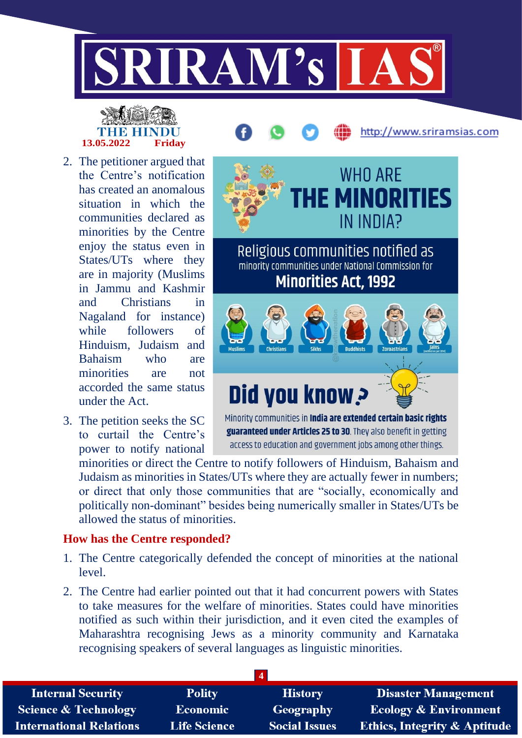

# **13.05.2022 Friday**

- 2. The petitioner argued that the Centre's notification has created an anomalous situation in which the communities declared as minorities by the Centre enjoy the status even in States/UTs where they are in majority (Muslims in Jammu and Kashmir and Christians in Nagaland for instance) while followers of Hinduism, Judaism and Bahaism who are minorities are not accorded the same status under the Act.
- 3. The petition seeks the SC to curtail the Centre's power to notify national

**WHO ARE E MINORITIES** IN INDIA? Religious communities notified as minority communities under National Commission for **Minorities Act, 1992** Did you know? Minority communities in **India are extended certain basic rights** 

http://www.sriramsias.com

guaranteed under Articles 25 to 30. They also benefit in getting access to education and government jobs among other things.

minorities or direct the Centre to notify followers of Hinduism, Bahaism and Judaism as minorities in States/UTs where they are actually fewer in numbers; or direct that only those communities that are "socially, economically and politically non-dominant" besides being numerically smaller in States/UTs be allowed the status of minorities.

#### **How has the Centre responded?**

- 1. The Centre categorically defended the concept of minorities at the national level.
- 2. The Centre had earlier pointed out that it had concurrent powers with States to take measures for the welfare of minorities. States could have minorities notified as such within their jurisdiction, and it even cited the examples of Maharashtra recognising Jews as a minority community and Karnataka recognising speakers of several languages as linguistic minorities.

| <b>Internal Security</b>        | <b>Polity</b>       | <b>History</b>       | <b>Disaster Management</b>              |
|---------------------------------|---------------------|----------------------|-----------------------------------------|
| <b>Science &amp; Technology</b> | <b>Economic</b>     | Geography            | <b>Ecology &amp; Environment</b>        |
| <b>International Relations</b>  | <b>Life Science</b> | <b>Social Issues</b> | <b>Ethics, Integrity &amp; Aptitude</b> |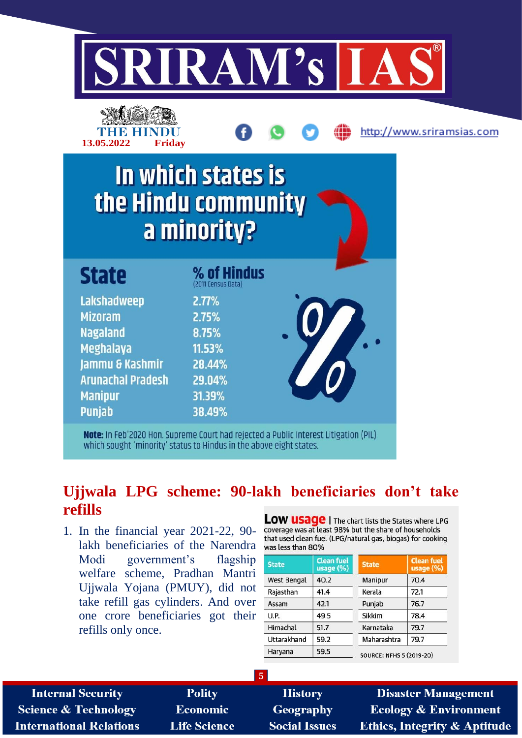



# **Ujjwala LPG scheme: 90-lakh beneficiaries don't take refills**

1. In the financial year 2021-22, 90 lakh beneficiaries of the Narendra Modi government's flagship welfare scheme, Pradhan Mantri Ujjwala Yojana (PMUY), did not take refill gas cylinders. And over one crore beneficiaries got their refills only once.

LOW USAGE | The chart lists the States where LPG coverage was at least 98% but the share of households that used clean fuel (LPG/natural gas, biogas) for cooking was less than 80%

| <b>State</b>       | <b>Clean fuel</b><br>usage (%) | <b>State</b>                    | <b>Clean fuel</b><br>usage $(\%)$ |
|--------------------|--------------------------------|---------------------------------|-----------------------------------|
| <b>West Bengal</b> | 40.2                           | Manipur                         | 70.4                              |
| Rajasthan          | 41.4                           | Kerala                          | 72.1                              |
| Assam              | 42.1                           | Punjab                          | 76.7                              |
| U.P.               | 49.5                           | Sikkim                          | 78.4                              |
| Himachal           | 51.7                           | Karnataka                       | 79.7                              |
| Uttarakhand        | 59.2                           | Maharashtra                     | 79.7                              |
| Haryana            | 59.5                           | <b>SOURCE: NFHS 5 (2019-20)</b> |                                   |

| <b>Internal Security</b>       | <b>Polity</b>       | <b>History</b>       | <b>Disaster Management</b>              |  |
|--------------------------------|---------------------|----------------------|-----------------------------------------|--|
| Science & Technology           | Economic            | Geography            | <b>Ecology &amp; Environment</b>        |  |
| <b>International Relations</b> | <b>Life Science</b> | <b>Social Issues</b> | <b>Ethics, Integrity &amp; Aptitude</b> |  |